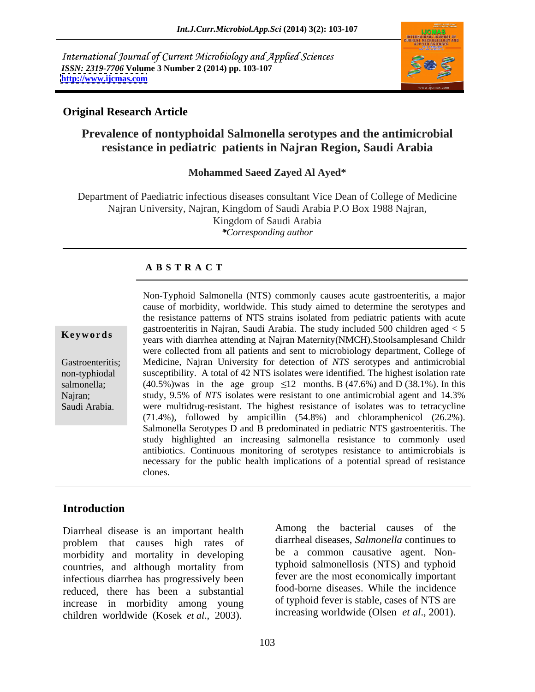International Journal of Current Microbiology and Applied Sciences *ISSN: 2319-7706* **Volume 3 Number 2 (2014) pp. 103-107 <http://www.ijcmas.com>**



### **Original Research Article**

# **Prevalence of nontyphoidal Salmonella serotypes and the antimicrobial resistance in pediatric patients in Najran Region, Saudi Arabia**

#### **Mohammed Saeed Zayed Al Ayed\***

Department of Paediatric infectious diseases consultant Vice Dean of College of Medicine Najran University, Najran, Kingdom of Saudi Arabia P.O Box 1988 Najran, Kingdom of Saudi Arabia *\*Corresponding author*

#### **A B S T R A C T**

**Keywords**<br>
years with diarrhea attending at Najran Maternity(NMCH).Stoolsamplesand Childr Gastroenteritis; Medicine, Najran University for detection of *NTS* serotypes and antimicrobial non-typhiodal susceptibility. A total of 42 NTS isolates were identified. The highest isolation rate salmonella; (40.5%)was in the age group  $\leq 12$  months. B (47.6%) and D (38.1%). In this Najran; study, 9.5% of *NTS* isolates were resistant to one antimicrobial agent and 14.3% Non-Typhoid Salmonella (NTS) commonly causes acute gastroenteritis, a major<br>cause of morbidity, worldwide. This study aimed to determine the serotypes and<br>the resistance patterns of NTS strains isolated from pediatric pat cause of morbidity, worldwide. This study aimed to determine the serotypes and the resistance patterns of NTS strains isolated from pediatric patients with acute gastroenteritis in Najran, Saudi Arabia. The study included 500 children aged < 5 were collected from all patients and sent to microbiology department, College of were multidrug-resistant. The highest resistance of isolates was to tetracycline (71.4%), followed by ampicillin (54.8%) and chloramphenicol (26.2%). Salmonella Serotypes D and B predominated in pediatric NTS gastroenteritis. The study highlighted an increasing salmonella resistance to commonly used antibiotics. Continuous monitoring of serotypes resistance to antimicrobials is necessary for the public health implications of a potential spread of resistance clones.

### **Introduction**

Diarrheal disease is an important health problem that causes high rates of morbidity and mortality in developing countries, and although mortality from infectious diarrhea has progressively been reduced, there has been a substantial increase in morbidity among young children worldwide (Kosek *et al*., 2003).

Among the bacterial causes of the diarrheal diseases, *Salmonella* continues to be a common causative agent. Nontyphoid salmonellosis (NTS) and typhoid fever are the most economically important food-borne diseases. While the incidence of typhoid fever is stable, cases of NTS are increasing worldwide (Olsen *et al*., 2001).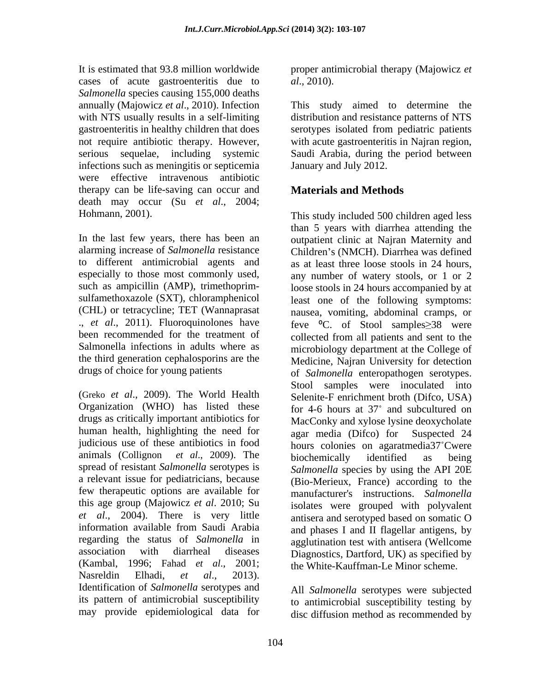It is estimated that 93.8 million worldwide proper antimicrobial therapy (Majowicz *et*  cases of acute gastroenteritis due to al., 2010). *Salmonella* species causing 155,000 deaths infections such as meningitis or septicemia were effective intravenous antibiotic therapy can be life-saving can occur and death may occur (Su *et al*., 2004;

In the last few years, there has been an Salmonella infections in adults where as

(Greko *et al*., 2009). The World Health Organization (WHO) has listed these drugs as critically important antibiotics for human health, highlighting the need for agar media (Difco) for Suspected 24 judicious use of these antibiotics in food hours colonies on agaratmedia37 Cwere animals (Collignon *et al*., 2009). The spread of resistant *Salmonella* serotypes is a relevant issue for pediatricians, because few therapeutic options are available for this age group (Majowicz *et al*. 2010; Su *et al*., 2004). There is very little information available from Saudi Arabia regarding the status of *Salmonella* in agglutination test with antisera (Wellcome association with diarrheal diseases Diagnostics, Dartford, UK) as specified by (Kambal, 1996; Fahad *et al*., 2001; the White-Kauffman-Le Minor scheme. Nasreldin Elhadi, *et al*., 2013). Identification of *Salmonella* serotypes and its pattern of antimicrobial susceptibility may provide epidemiological data for

*al*., 2010).

annually (Majowicz *et al*., 2010). Infection This study aimed to determine the with NTS usually results in a self-limiting distribution and resistance patterns of NTS gastroenteritis in healthy children that does serotypes isolated from pediatric patients not require antibiotic therapy. However, with acute gastroenteritis in Najran region, serious sequelae, including systemic Saudi Arabia, during the period between January and July 2012.

# **Materials and Methods**

Hohmann, 2001). This study included 500 children aged less alarming increase of *Salmonella* resistance Children's (NMCH). Diarrhea was defined to different antimicrobial agents and as at least three loose stools in 24 hours, especially to those most commonly used, any number of watery stools, or 1 or 2 such as ampicillin (AMP), trimethoprim-<br>loose stools in 24 hours accompanied by at sulfamethoxazole (SXT), chloramphenicol least one of the following symptoms: (CHL) or tetracycline; TET (Wannaprasat nausea, vomiting, abdominal cramps, or ., *et al.*, 2011). Fluoroquinolones have feve <sup>o</sup>C. of Stool samples > 38 were been recommended for the treatment of collected from all patients and sent to the the third generation cephalosporins are the Medicine, Najran University for detection drugs of choice for young patients of *Salmonella* enteropathogen serotypes. than 5 years with diarrhea attending the outpatient clinic at Najran Maternity and microbiology department at the College of Stool samples were inoculated into Selenite-F enrichment broth (Difco, USA) for 4-6 hours at 37° and subcultured on MacConky and xylose lysine deoxycholate agar media (Difco) for Suspected 24 biochemically identified as being *Salmonella* species by using the API 20E (Bio-Merieux, France) according to the manufacturer's instructions. *Salmonella*  isolates were grouped with polyvalent antisera and serotyped based on somatic O and phases I and II flagellar antigens, by

> All *Salmonella* serotypes were subjected to antimicrobial susceptibility testing by disc diffusion method as recommended by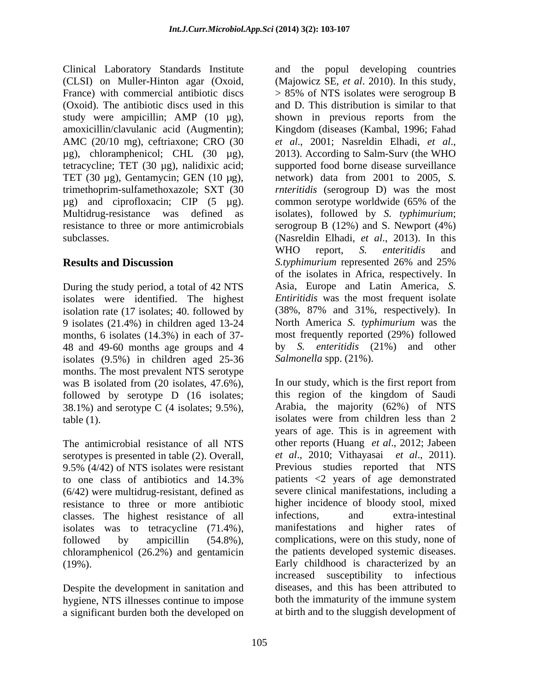Clinical Laboratory Standards Institute France) with commercial antibiotic discs  $> 85\%$  of NTS isolates were serogroup B study were ampicillin; AMP (10 µg), shown in previous reports from the AMC (20/10 mg), ceftriaxone; CRO (30 et al., 2001; Nasreldin Elhadi, et al.,  $\mu$ g), chloramphenicol; CHL (30  $\mu$ g), 2013). According to Salm-Surv (the WHO tetracycline; TET (30 µg), nalidixic acid;

During the study period, a total of 42 NTS isolation rate (17 isolates; 40. followed by 9 isolates (21.4%) in children aged 13-24 months, 6 isolates (14.3%) in each of 37- 48 and 49-60 months age groups and 4 isolates (9.5%) in children aged 25-36 months. The most prevalent NTS serotype was B isolated from (20 isolates, 47.6%), In our study, which is the first report from followed by serotype D (16 isolates: this region of the kingdom of Saudi followed by serotype D (16 isolates; 38.1%) and serotype C (4 isolates; 9.5%),

The antimicrobial resistance of all NTS serotypes is presented in table (2). Overall, 9.5% (4/42) of NTS isolates were resistant (6/42) were multidrug-resistant, defined as resistance to three or more antibiotic classes. The highest resistance of all isolates was to tetracycline (71.4%), manifestations and higher rates of chloramphenicol (26.2%) and gentamicin

Despite the development in sanitation and hygiene, NTS illnesses continue to impose both the immaturity of the immune system a significant burden both the developed on

(CLSI) on Muller-Hinton agar (Oxoid, (Majowicz SE, *et al*. 2010). In this study, (Oxoid). The antibiotic discs used in this and D. This distribution is similar to that amoxicillin/clavulanic acid (Augmentin); Kingdom (diseases (Kambal, 1996; Fahad TET (30 µg), Gentamycin; GEN (10 µg), network) data from 2001 to 2005, *S.*  trimethoprim-sulfamethoxazole; SXT (30 *rnteritidis* (serogroup D) was the most µg) and ciprofloxacin; CIP (5 µg). common serotype worldwide (65% of the Multidrug-resistance was defined as isolates), followed by *S. typhimurium*; resistance to three or more antimicrobials serogroup B (12%) and S. Newport (4%) subclasses. (Nasreldin Elhadi, *et al*., 2013). In this **Results and Discussion** S.typhimurium represented 26% and 25% isolates were identified. The highest *Entiritidis* was the most frequent isolate and the popul developing countries > 85% of NTS isolates were serogroup B shown in previous reports from the *et al*., 2001; Nasreldin Elhadi, *et al*., 2013). According to Salm-Surv (the WHO supported food borne disease surveillance WHO report, *S. enteritidis* and *S.typhimurium* represented 26% and 25% of the isolates in Africa, respectively. In Asia, Europe and Latin America, *S.*  (38%, 87% and 31%, respectively). In North America *S. typhimurium* was the most frequently reported (29%) followed by *S. enteritidis* (21%) and other *Salmonella* spp. (21%).

table (1). isolates were from children less than 2 to one class of antibiotics and 14.3% followed by ampicillin (54.8%), complications, were on this study, none of (19%). Early childhood is characterized by an In our study, which is the first report from this region of the kingdom of Saudi Arabia, the majority (62%) of NTS years of age. This is in agreement with other reports (Huang *et al*., 2012; Jabeen *et al*., 2010; Vithayasai *et al*., 2011). Previous studies reported that NTS patients <2 years of age demonstrated severe clinical manifestations, including a higher incidence of bloody stool, mixed infections, and extra-intestinal manifestations and higher rates of the patients developed systemic diseases. increased susceptibility to infectious diseases, and this has been attributed to both the immaturity of the immune system at birth and to the sluggish development of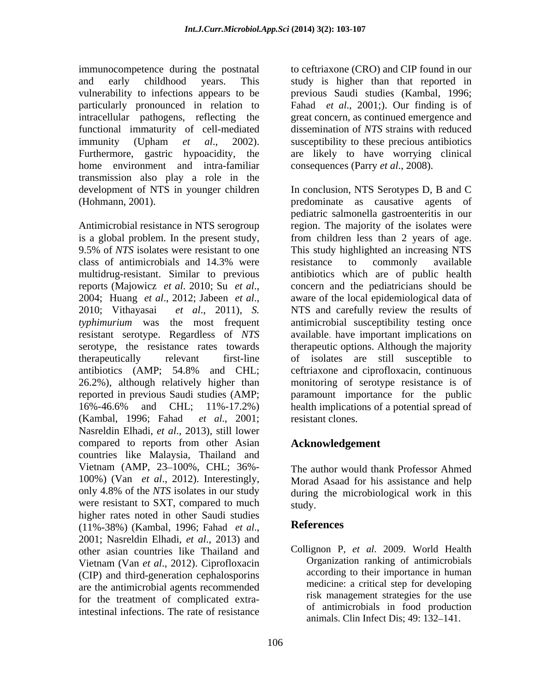immunocompetence during the postnatal to ceftriaxone (CRO) and CIP found in our and early childhood years. This study is higher than that reported in vulnerability to infections appears to be previous Saudi studies (Kambal,1996; particularly pronounced in relation to intracellular pathogens, reflecting the great concern, as continued emergence and functional immaturity of cell-mediated immunity (Upham *et al*., 2002). susceptibility to these precious antibiotics Furthermore, gastric hypoacidity, the are likely to have worrying clinical home environment and intra-familiar transmission also play a role in the development of NTS in younger children

Antimicrobial resistance in NTS serogroup Nasreldin Elhadi, *et al*., 2013), still lower compared to reports from other Asian countries like Malaysia, Thailand and Vietnam (AMP, 23-100%, CHL; 36%-100%) (Van *et al.*, 2012). Interestingly, Morad Asaad for his assistance and help only 4.8% of the *NTS* isolates in our study during the microbiological work in this were resistant to SXT, compared to much study. higher rates noted in other Saudi studies<br>(11%-38%) (Kambal 1996; Fabad *et al* References (11%-38%) (Kambal, 1996; Fahad *et al*., 2001; Nasreldin Elhadi, *et al*., 2013) and other asian countries like Thailand and Vietnam (Van *et al*., 2012). Ciprofloxacin (CIP) and third-generation cephalosporins are the antimicrobial agents recommended for the treatment of complicated extraintestinal infections. The rate of resistance

Fahad *et al*., 2001;). Our finding is of dissemination of *NTS* strains with reduced consequences (Parry *et al*., 2008).

(Hohmann, 2001). predominate as causative agents of is a global problem. In the present study, from children less than 2 years of age. 9.5% of *NTS* isolates were resistant to one This study highlighted an increasing NTS class of antimicrobials and 14.3% were multidrug-resistant. Similar to previous antibiotics which are of public health reports (Majowicz *et al*. 2010; Su *et al*., 2004; Huang *et al*., 2012; Jabeen *et al*., 2010; Vithayasai *et al*.,2011), *S. typhimurium* was the most frequent antimicrobial susceptibility testing once resistant serotype. Regardless of *NTS* available. have important implications on serotype, the resistance rates towards therapeutic options. Although the majority therapeutically relevant first-line of isolates are still susceptible to antibiotics (AMP; 54.8% and CHL; 26.2%), although relatively higher than monitoring of serotype resistance is of reported in previous Saudi studies (AMP; paramount importance for the public 16%-46.6% and CHL; 11%-17.2%) health implications of a potential spread of (Kambal, 1996; Fahad *et al*., 2001; In conclusion, NTS Serotypes D, B and C pediatric salmonella gastroenteritis in our region. The majority of the isolates were resistance to commonly available concern and the pediatricians should be aware of the local epidemiological data of NTS and carefully review the results of ceftriaxone and ciprofloxacin, continuous resistant clones.

## **Acknowledgement**

The author would thank Professor Ahmed during the microbiological work in this study.

## **References**

Collignon P, *et al*. 2009. World Health Organization ranking of antimicrobials according to their importance in human medicine: a critical step for developing risk management strategies for the use of antimicrobials in food production animals. Clin Infect Dis; 49: 132–141.